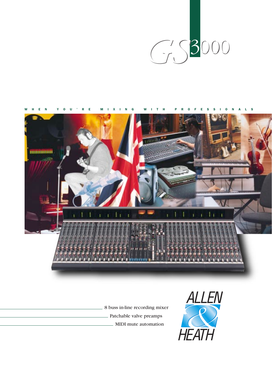



8 buss in-line recording mixer Patchable valve preamps MIDI mute automation

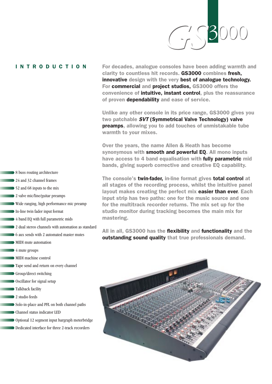

#### INTRODUCTION

For decades, analogue consoles have been adding warmth and clarity to countless hit records. GS3000 combines fresh, innovative design with the very best of analogue technology. For commercial and project studios, GS3000 offers the convenience of intuitive, instant control, plus the reassurance of proven dependability and ease of service.

Unlike any other console in its price range, GS3000 gives you two patchable SVT (Symmetrical Valve Technology) valve preamps, allowing you to add touches of unmistakable tube warmth to your mixes.

Over the years, the name Allen & Heath has become synonymous with smooth and powerful EQ. All mono inputs have access to 4 band equalisation with fully parametric mid bands, giving superb corrective and creative EQ capability.

The console's twin-fader, in-line format gives total control at all stages of the recording process, whilst the intuitive panel layout makes creating the perfect mix easier than ever. Each input strip has two paths: one for the music source and one for the multitrack recorder returns. The mix set up for the studio monitor during tracking becomes the main mix for mastering.

All in all, GS3000 has the flexibility and functionality and the outstanding sound quality that true professionals demand.



- 8 buss routing architecture
- 24 and 32 channel frames
- $\triangleright$  52 and 68 inputs to the mix
- 2 valve mic/line/guitar preamps
- Wide ranging, high performance mic preamp
- In-line twin fader input format
- 4 band EQ with full parametric mids
- 2 dual stereo channels with automation as standard
- 6 aux sends with 2 automated master mutes
- MIDI mute automation
- $\blacktriangleright$  4 mute groups
- MIDI machine control
- Tape send and return on every channel
- Group/direct switching
- Oscillator for signal setup
- **Talkback facility**
- 2 studio feeds
- Solo-in-place and PFL on both channel paths
- Channel status indicator LED
- Optional 12 segment input bargraph meterbridge
- Dedicated interface for three 2-track recorders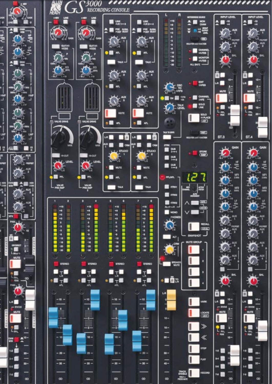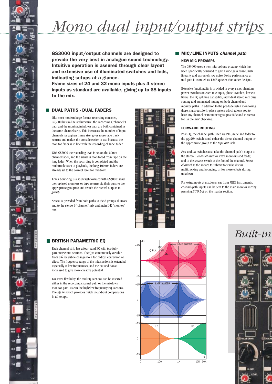## *Mono dual input/output strips*

GS3000 input/output channels are designed to provide the very best in analogue sound technology. Intuitive operation is assured through clear layout and extensive use of illuminated switches and leds, indicating setups at a glance.

Frame sizes of 24 and 32 mono inputs plus 4 stereo inputs as standard are available, giving up to 68 inputs to the mix.

#### **DUAL PATHS - DUAL FADERS**

Like most modern large-format recording consoles, GS3000 has in-line architecture: the recording ("channel") path and the monitor/mixdown path are both contained in the same channel strip. This increases the number of input channels for a given frame size, gives more tape track returns and makes the console easier to use because the monitor fader is in line with the recording channel fader.

With GS3000 the recording level is set on the 60mm channel fader, and the signal is monitored from tape on the long fader. When the recording is completed and the multitrack is set to playback, the long 100mm faders are already set to the correct level for mixdown.

Track bouncing is also straightforward with GS3000: send the replayed monitors or tape returns via their pans to the appropriate group(s) and switch the record outputs to *group*.

Access is provided from both paths to the 8 groups, 6 auxes and to the stereo B "channel" mix and main L-R "monitor" mix.

#### **BRITISH PARAMETRIC EQ**

Each channel strip has a four band EQ with two fully parametric mid sections. The Q is continuously variable from 0.6 for subtle changes to 2 for radical correction or effect. The frequency range of the mid sections is extended especially at low frequencies, and the cut and boost increased to give more creative potential.

For extra flexibility, the mid EQ sections can be inserted either in the recording channel path or the mixdown monitor path, as can the high/low frequency EQ sections. The *EQ in* switch provides quick in-and-out comparisons in all setups.



#### **MIC/LINE INPUTS channel path**

#### NEW MIC PREAMPS

The GS3000 uses a new microphone preamp which has been specifically designed to give a wide gain range, high linearity and extremely low noise. Noise performance at mid gain is as much as 12dB quieter than other designs.

Extensive functionality is provided in every strip: phantom power switches on each mic input, phase switches, low cut filters, the EQ splitting capability, individual stereo mix buss routing and automated muting on both channel and monitor paths. In addition to the pre-fade listen monitoring there is also a solo-in-place system which allows you to hear any channel or monitor signal post fade and in stereo for 'in the mix' checking.

#### FORWARD ROUTING

Post-EQ, the channel path is fed via PFL, mute and fader to the *grp/dir* switch: send either the direct channel output or the appropriate group to the *tape out* jack.

*Pan* and *on* switches also take the channel path's output to the stereo B *channel mix* for extra monitors and feeds; and to the *source* switch at the foot of the channel. Select *channel* as the source to submix to tracks during multitracking and bouncing, or for more effects during mixdown.

For extra inputs at mixdown, say from MIDI instruments, channel-path inputs can be sent to the main monitor mix by pressing *B TO L-R* on the master section.



### *Built-in*

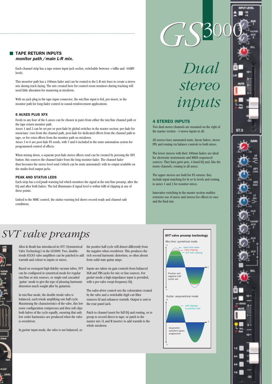#### **TAPE RETURN INPUTS** monitor path / main L-R mix.

Each channel strip has a tape return input jack socket, switchable between +4dBu and -10dBV levels.

This *monitor* path has a 100mm fader and can be routed to the L-R mix buss to create a stereo mix during track-laying. The mix created here for control room monitors during tracking will need little alteration for mastering at mixdown.

With no jack plug in the tape input connector, the mic/line input is fed, pre-insert, to the monitor path for long-fader control in sound-reinforcement applications.

#### 6 AUXES PLUS XFX

Feeds to any four of the 6 auxes can be chosen in pairs from either the mic/line channel path or the tape return monitor path.

Auxes 1 and 2 can be set pre or post-fade by global switches in the master section: pre-fade for musicians' cues from the channel path, post-fade for dedicated effects from the channel path to tape, or for extra effects from the monitor path on mixdown.

Auxes 3 to 6 are post-fade FX sends, with 5 and 6 included in the mute automation system for programmed control of effects.

When mixing down, a separate post-fade stereo effects send can be created by pressing the XFX button: this sources the channel fader from the long monitor fader. The channel fader then becomes the stereo level send (which can be mute automated) with its output available on the studio feed output jacks.

#### PEAK AND STATUS LEDS

Each strip has a red *peak* warning led which monitors the signal at the mic/line preamp, after the EQ and after both faders. The led illuminates if signal level is within 6dB of clipping at any of these points.

Linked to the MMC control, the *status* warning led shows record-ready and channel-safe conditions.

## *Dual stereo inputs*



4 STEREO INPUTS

Two dual stereo channels are mounted on the right of the master section - 4 stereo inputs in all.

All stereos have automated mute, linear faders, stereo PFL and routing via balance controls to both mixes.

The lower stereos with their 100mm faders are ideal for electronic instruments and MIDI-sequenced sources. They have *gain* pots, 4-band EQ and, like the mono channels, routing to all auxes.

The upper stereos are built for FX returns: they include input matching for hi or lo levels and routing to auxes 1 and 2 for monitor mixes.

Innovative switching in the master section enables extensive use of auxes and stereos for effects in cues and the final mix.

### *SVT valve preamps*



1040 e

Allen & Heath has introduced its SVT (Symmetrical Valve Technology) in the GS3000. Two, doubletriode ECC83 valve amplifiers can be patched to add warmth and colour to inputs or mixes.

Based on resurgent high-fidelity vacuum tubes, SVT can be configured in symetrical mode for regular mic/line or mix sources, or single-end cascaded 'guitar' mode to give the type of pleasing harmonic distortion much sought after by guitarists.

In mic/line mode, the double triode valve is balanced, each triode amplifying one half cycle. Maximising the characteristics of the valve, this low noise configuration compresses and then soft clips both halves of the cycle equally, ensuring that only low order harmonics are produced when the valve is overdriven.

In *guitar* input mode, the valve is not balanced, so

the positive half cycle will distort differently from the negative when overdriven. This produces the rich second harmonic distortion, so often absent from solid state guitar amps.

Inputs are taken via gain controls from balanced XLR and TRS jacks for mic or line sources. For *guitar* mode a high-impedance input is provided, with a pre-valve swept-frequency EQ.

The *valve drive* control sets the colouration created by the valve and a switchable *high-cut* filter removes hf and enhances warmth. Output is sent to the rear-panel jack.

Patch to channel insert for full EQ and routing, or to group to record direct to tape; or patch to the master mix (L and R inserts) to add warmth to the whole mixdown.

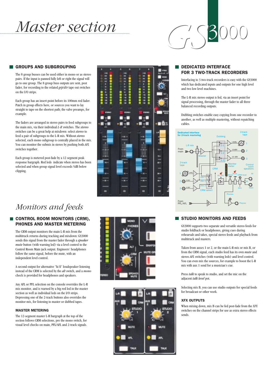### *Master section*



#### GROUPS AND SUBGROUPING

The 8 group busses can be used either in mono or as stereo pairs. If the input is panned fully left or right the signal will go to one group. The 8 group buss outputs are sent, post fader, for recording to the related *grp/dir* tape out switches on the I/O strips.

Each group has an insert point before its 100mm red fader. Patch in group effects here, or sources you want to lay straight to tape on the shortest path; the valve preamps, for example.

The faders are arranged in stereo pairs to feed subgroups to the main mix, via their individual *L-R* switches. The *stereo* switches can be a great help at mixdown: select *stereo* to feed a pair of subgroups to the L-R mix. Without *stereo* selected, each mono subgroup is centrally placed in the mix. You can monitor the submix in stereo by pushing both *AFL* switches together.

Each group is metered post-fade by a 12 segment peak response bargraph. Red leds indicate when stereo has been selected and when group signal level exceeds 5dB below clipping.



### *Monitors and feeds*

#### CONTROL ROOM MONITORS (CRM). PHONES AND MASTER METERING

The CRM output monitors the main L-R mix from the multitrack returns during tracking and mixdown: GS3000 sends this signal from the master fader through a *speaker mute* button (with warning led) via a level control to the Control Room Main jack output. Engineers' headphones follow the same signal, before the mute, with an independent level control.

A second output for alternative "hi fi" loudspeaker listening instead of the CRM is selected by the *alt* switch, and a *mono* check is provided for headphones and speakers.

Any AFL or PFL selection on the console overrides the L-R mix monitor, and is warned by a big red led in the master section as well as individual leds on the I/O strips. Depressing one of the 2-track buttons also overrides the monitor mix, for listening to master or dubbed tapes.

#### MASTER METERING

The 12-segment master L-R bargraph at the top of the section follows CRM selections, pre the mono switch, for visual level checks on main, PFL/AFL and 2-track signals.





#### DEDICATED INTERFACE FOR 3 TWO-TRACK RECORDERS

Interfacing to 3 two-track recorders is easy with the GS3000 which has dedicated inputs and outputs for one high level and two low level machines.

The L-R mix stereo output is fed, via an insert point for signal processing, through the master fader to all three balanced recording outputs.

Dubbing switches enable easy copying from one recorder to another, as well as multiple mastering, without repatching cables.



#### STUDIO MONITORS AND FEEDS

GS3000 supports two separate and versatile stereo feeds for studio foldback or headphones, giving cues during rehearsals and takes, special stereo feeds and playback from multitrack and masters.

Taken from auxes 1 or 2, or the main L-R mix or mix B, or from the CRM signal, each studio feed has its own *mute* and stereo *AFL* switches (with warning leds) and level control. You can even mix the sources, for example to boost the L-R mix with aux 1 send for a musician's cue.

Press *talk* to speak to studio, and set the mic on the adjacent *talk level* pot.

Selecting mix B, you can use studio outputs for special feeds for broadcast or other work.

#### XFX OUTPUTS

When mixing down, mix B can be fed post-fade from the *XFX* switches on the channel strips for use as extra stereo effects sends.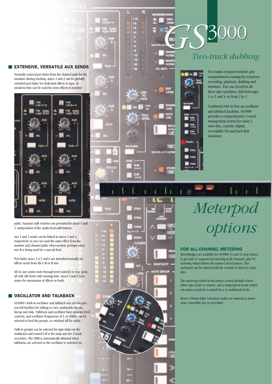#### **EXTENSIVE, VERSATILE AUX SENDS**

Normally sourced pre-fader from the channel path for the monitors during tracking, auxes 1 and 2 can be globally switched post-fader for dedicated effects to tape. At mixdown they can be used for extra effects to monitor



paths. Separate *talk* switches are provided for auxes 1 and 2, independent of the studio feed *talk* buttons.

Aux 1 and 2 sends can be linked to auxes 3 and 4 respectively so you can send the same effect from the monitor and channel paths when needed: perhaps when mix B is being used for a special feed.

Post-fader auxes 3,4,5 and 6 are intended normally for effects sends from the L-R or B mix.

All six aux sends route through level controls to rear jacks, all with AFL feeds with warning leds. Auxes 5 and 6 have mutes for automation of effects or feeds.

#### OSCILLATOR AND TALKBACK

GS3000's built-in oscillator and talkback mic circuits give you full facilities for talking to cues, multitrack checks, lineup and slate. Talkback and oscillator have separate level controls, and oscillator frequencies of 1 or 10kHz can be selected to feed the groups, or switched off for safety.

*Talk to groups* can be selected for tape slates on the multitrack and routed L-R to the main mix for 2-track recorders. The CRM is automatically dimmed when talkbacks are selected or the oscillator is switched on.



B

R

EDIT

NPL<br>DAT

**Bart** 

æ. 뺸.

+15

\*\*<br>\*\* a 9

## *Two-track dubbing GS* <sup>3000</sup>

Two banks of panel switches give comprehensive routing for mixdown recording, playback, dubbing and monitors. You can record to all three tape machines, dub from tape 1 to 2 and 3, or from 2 to 1.

Combined with its line-up oscillator and talkback facilities, GS3000 provides a comprehensive 2-track management system for today's mini-disc, cassette, digital, recordable-CD and hard disk machines.

# *Meterpod options*

J.

#### FOR ALL-CHANNEL METERING

Meterbridges are available for GS3000 24 and 32 strip frames to give full 12-segment led metering of all channels, plus VU metering which follows the master L-R led meters. The meterpod can be ordered with the console or fitted at a later date.

The *metering* switch in the master section globally selects either tape sends or returns, and a tamperproof mode switch sets meter sensitivity to match hi or lo multitrack levels.

Stereo 100mm fader (monitor) paths are metered as mono sums, selectable pre or post fader.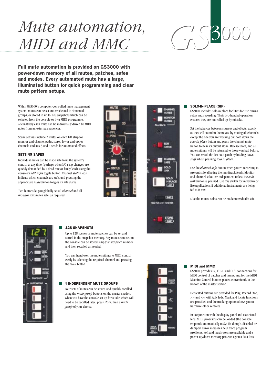## *Mute automation, MIDI and MMC*



Full mute automation is provided on GS3000 with power-down memory of all mutes, patches, safes and modes. Every automated mute has a large, illuminated button for quick programming and clear mute pattern setups.

Within GS3000's computer-controlled mute management system, mutes can be set and reselected in 4 manual groups, or stored in up to 128 snapshots which can be selected from the console or by a MIDI programme. Alternatively each mute can be individually driven by MIDI notes from an external sequencer.

Scene settings include 2 mutes on each I/O strip for monitor and channel paths, stereo lower and upper channels and aux 3 and 4 sends for automated effects.

#### SETTING SAFES

Individual mutes can be made safe from the system's control at any time (perhaps when I/O strip changes are quickly demanded by a dead mic or faulty lead) using the console's *edit safes* toggle button. Channel *status* leds indicate which channels are safe, and pressing the appropriate *mute* button toggles its safe status.

Two buttons let you globally set all *channel* and all *monitor* mix mutes safe, as required.





#### SOLO-IN-PLACE (SIP)

GS3000 includes solo in place facilities for use during setup and recording. Their two-handed operation ensures they are not called up by mistake.

Set the balances between sources and effects, exactly as they will sound in the mixes, by muting all channels except the one you are working on: hold down the *solo in place* button and press the channel mute button to hear its output alone. Release both, and all mute settings will be returned to those you had before. You can recall the last solo patch by holding down *shift* whilst pressing *solo in place*.

Use the *channel safe* button when you're recording to prevent solo affecting the multitrack feeds. Monitor and channel solos are independent unless the *solo link* button is pressed. Use this switch for mixdown or live applications if additional instruments are being fed to B mix,

Like the mutes, solos can be made individually safe.



#### 128 SNAPSHOTS

Up to 128 scenes or mute patches can be set and stored in the snapshot memory. Any mute scene set on the console can be stored simply at any patch number and then recalled as needed.

You can hand over the mute settings to MIDI control easily by selecting the required channel and pressing the *MIDI* button.

#### 4 INDEPENDENT MUTE GROUPS

Four sets of mutes can be stored and quickly recalled using the *mute group* buttons on the master section. When you have the console set up for a take which will need to be recalled later, press *store,* then a *mute group* of your choice.



#### MIDI and MMC

GS3000 provides IN, THRU and OUT connections for MIDI control of patches and mutes, and for the MIDI Machine Control buttons placed conveniently at the bottom of the master section.

Dedicated buttons are provided for Play, Record Stop, >> and << with tally leds. Mark and locate functions are provided and the tracking option allows you to hardwire other remotes.

In conjunction with the display panel and associated leds, MIDI programs can be loaded (the console responds automatically to Sys-Ex dump), disabled or dumped. Error messages help trace program problems, soft and hard resets are available and a power up/down memory protects against data loss.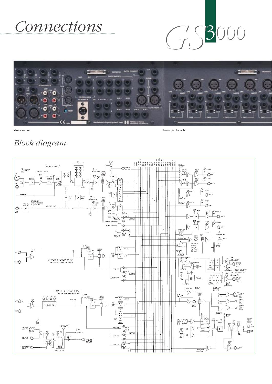### *Connections*





Master section Mono i/o channels

### *Block diagram*